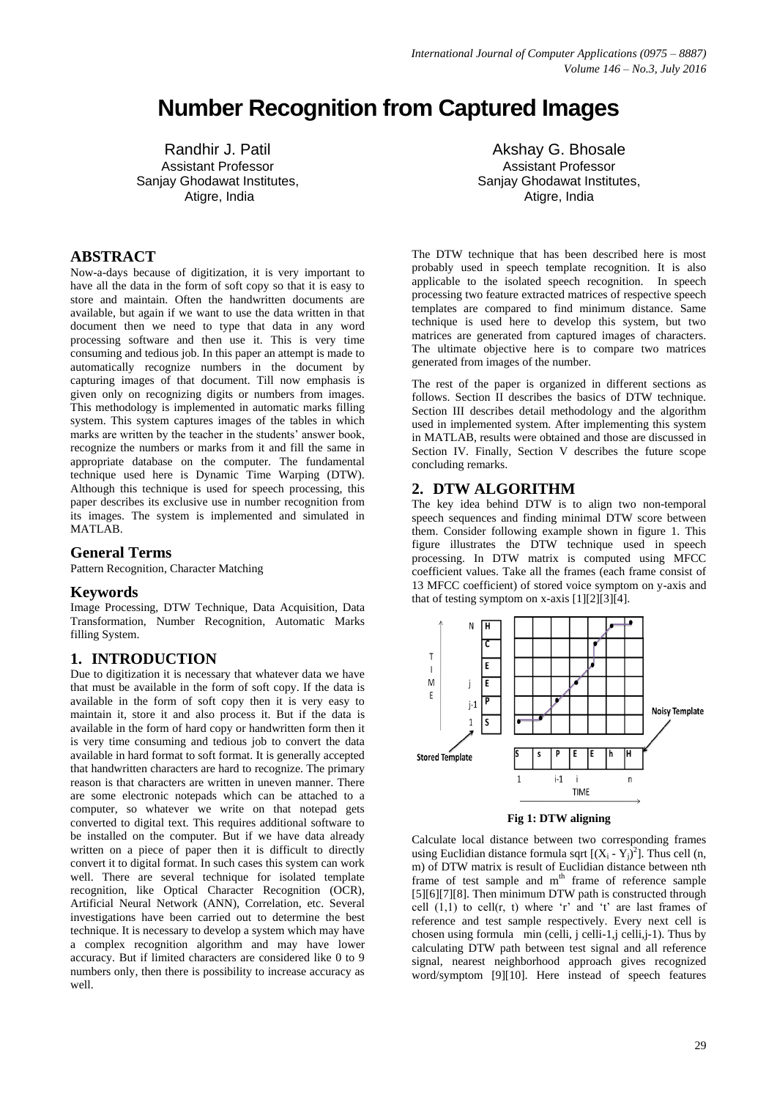# **Number Recognition from Captured Images**

Randhir J. Patil Assistant Professor Sanjay Ghodawat Institutes, Atigre, India

# **ABSTRACT**

Now-a-days because of digitization, it is very important to have all the data in the form of soft copy so that it is easy to store and maintain. Often the handwritten documents are available, but again if we want to use the data written in that document then we need to type that data in any word processing software and then use it. This is very time consuming and tedious job. In this paper an attempt is made to automatically recognize numbers in the document by capturing images of that document. Till now emphasis is given only on recognizing digits or numbers from images. This methodology is implemented in automatic marks filling system. This system captures images of the tables in which marks are written by the teacher in the students' answer book, recognize the numbers or marks from it and fill the same in appropriate database on the computer. The fundamental technique used here is Dynamic Time Warping (DTW). Although this technique is used for speech processing, this paper describes its exclusive use in number recognition from its images. The system is implemented and simulated in MATLAB.

#### **General Terms**

Pattern Recognition, Character Matching

#### **Keywords**

Image Processing, DTW Technique, Data Acquisition, Data Transformation, Number Recognition, Automatic Marks filling System.

## **1. INTRODUCTION**

Due to digitization it is necessary that whatever data we have that must be available in the form of soft copy. If the data is available in the form of soft copy then it is very easy to maintain it, store it and also process it. But if the data is available in the form of hard copy or handwritten form then it is very time consuming and tedious job to convert the data available in hard format to soft format. It is generally accepted that handwritten characters are hard to recognize. The primary reason is that characters are written in uneven manner. There are some electronic notepads which can be attached to a computer, so whatever we write on that notepad gets converted to digital text. This requires additional software to be installed on the computer. But if we have data already written on a piece of paper then it is difficult to directly convert it to digital format. In such cases this system can work well. There are several technique for isolated template recognition, like Optical Character Recognition (OCR), Artificial Neural Network (ANN), Correlation, etc. Several investigations have been carried out to determine the best technique. It is necessary to develop a system which may have a complex recognition algorithm and may have lower accuracy. But if limited characters are considered like 0 to 9 numbers only, then there is possibility to increase accuracy as well.

Akshay G. Bhosale Assistant Professor Sanjay Ghodawat Institutes, Atigre, India

The DTW technique that has been described here is most probably used in speech template recognition. It is also applicable to the isolated speech recognition. In speech processing two feature extracted matrices of respective speech templates are compared to find minimum distance. Same technique is used here to develop this system, but two matrices are generated from captured images of characters. The ultimate objective here is to compare two matrices generated from images of the number.

The rest of the paper is organized in different sections as follows. Section II describes the basics of DTW technique. Section III describes detail methodology and the algorithm used in implemented system. After implementing this system in MATLAB, results were obtained and those are discussed in Section IV. Finally, Section V describes the future scope concluding remarks.

## **2. DTW ALGORITHM**

The key idea behind DTW is to align two non-temporal speech sequences and finding minimal DTW score between them. Consider following example shown in figure 1. This figure illustrates the DTW technique used in speech processing. In DTW matrix is computed using MFCC coefficient values. Take all the frames (each frame consist of 13 MFCC coefficient) of stored voice symptom on y-axis and that of testing symptom on x-axis [1][2][3][4].



#### **Fig 1: DTW aligning**

Calculate local distance between two corresponding frames using Euclidian distance formula sqrt  $[(X_i - Y_j)^2]$ . Thus cell (n, m) of DTW matrix is result of Euclidian distance between nth frame of test sample and m<sup>th</sup> frame of reference sample [5][6][7][8]. Then minimum DTW path is constructed through cell  $(1,1)$  to cell $(r, t)$  where 'r' and 't' are last frames of reference and test sample respectively. Every next cell is chosen using formula min (celli, j celli-1,j celli,j-1). Thus by calculating DTW path between test signal and all reference signal, nearest neighborhood approach gives recognized word/symptom [9][10]. Here instead of speech features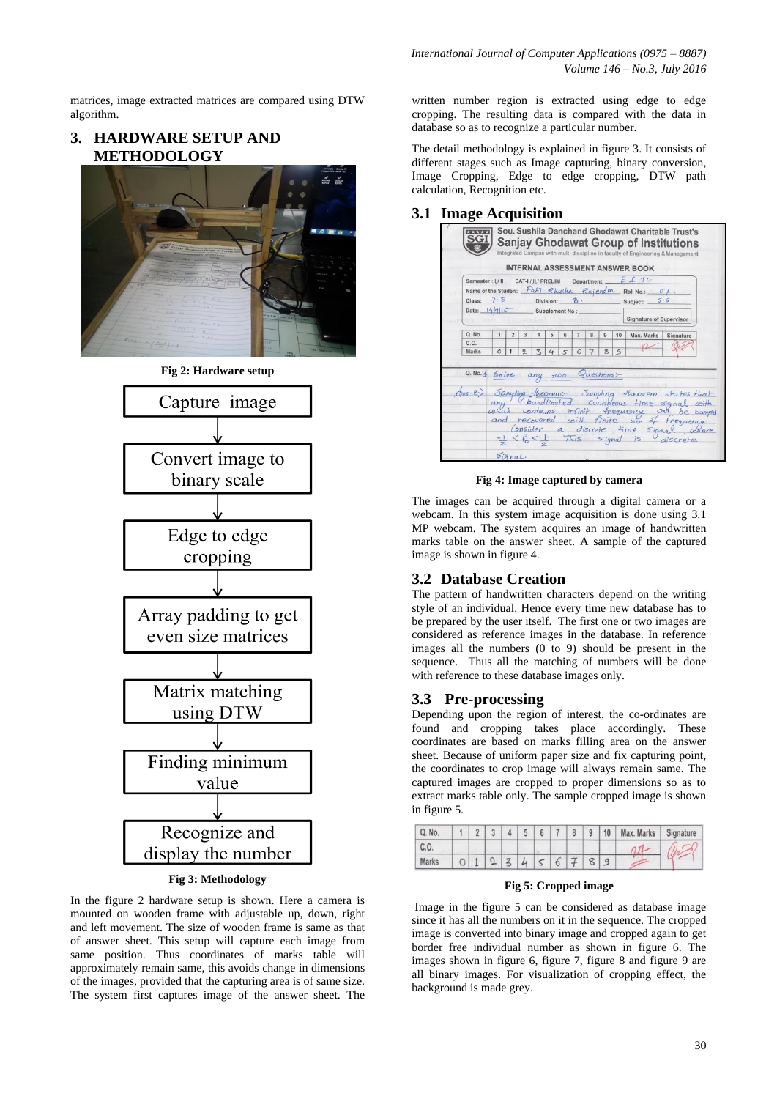matrices, image extracted matrices are compared using DTW algorithm.

# **3. HARDWARE SETUP AND METHODOLOGY**





#### **Fig 3: Methodology**

In the figure 2 hardware setup is shown. Here a camera is mounted on wooden frame with adjustable up, down, right and left movement. The size of wooden frame is same as that of answer sheet. This setup will capture each image from same position. Thus coordinates of marks table will approximately remain same, this avoids change in dimensions of the images, provided that the capturing area is of same size. The system first captures image of the answer sheet. The

written number region is extracted using edge to edge cropping. The resulting data is compared with the data in database so as to recognize a particular number.

The detail methodology is explained in figure 3. It consists of different stages such as Image capturing, binary conversion, Image Cropping, Edge to edge cropping, DTW path calculation, Recognition etc.

#### **3.1 Image Acquisition**

| Semester: [/ II CAT-I / JL/ PRELIM Department: |              |                |               |              |          |        |                |                          |                |    | E A T C<br>Name of the Student: $Path$ Rhucha Rajendm Roll No.: $07$ .<br>Class: $\overline{7} \cdot \overline{E}$ Division: $\overline{B}$ Subject: $5.5$                                                                                                                                                 |           |
|------------------------------------------------|--------------|----------------|---------------|--------------|----------|--------|----------------|--------------------------|----------------|----|------------------------------------------------------------------------------------------------------------------------------------------------------------------------------------------------------------------------------------------------------------------------------------------------------------|-----------|
| Date: 14915 Supplement No:                     |              |                |               |              |          |        |                |                          |                |    | <b>Signature of Supervisor</b>                                                                                                                                                                                                                                                                             |           |
| Q. No.                                         | $\mathbf{1}$ | $\overline{2}$ | 3             | 4            | 5        | 6      | $\overline{7}$ | 8                        | $\overline{9}$ | 10 | Max. Marks                                                                                                                                                                                                                                                                                                 | Signature |
| C.O.<br>Marks                                  | $\circ$      |                | $\mathcal{D}$ | $\mathbf{z}$ | $\Delta$ | $\leq$ |                | $\overline{\mathcal{F}}$ | $\mathbf{8}$   | g  |                                                                                                                                                                                                                                                                                                            |           |
| a. No.:1 Solve any two Questions:              |              |                |               |              |          |        |                |                          |                |    | Ons B) Sampling theorem: - Sampling theorem states that<br>any bandlimited contineous time signal coith<br>and recovered coith finite no of frequency.<br>Insider a discrete time signal, where<br>Consider a discrete time signal<br>$\frac{-1}{2} < \frac{1}{6} < \frac{1}{2}$ . This signal is discrete |           |

**Fig 4: Image captured by camera**

The images can be acquired through a digital camera or a webcam. In this system image acquisition is done using 3.1 MP webcam. The system acquires an image of handwritten marks table on the answer sheet. A sample of the captured image is shown in figure 4.

# **3.2 Database Creation**

The pattern of handwritten characters depend on the writing style of an individual. Hence every time new database has to be prepared by the user itself. The first one or two images are considered as reference images in the database. In reference images all the numbers (0 to 9) should be present in the sequence. Thus all the matching of numbers will be done with reference to these database images only.

## **3.3 Pre-processing**

Depending upon the region of interest, the co-ordinates are found and cropping takes place accordingly. These coordinates are based on marks filling area on the answer sheet. Because of uniform paper size and fix capturing point, the coordinates to crop image will always remain same. The captured images are cropped to proper dimensions so as to extract marks table only. The sample cropped image is shown in figure 5.



#### **Fig 5: Cropped image**

Image in the figure 5 can be considered as database image since it has all the numbers on it in the sequence. The cropped image is converted into binary image and cropped again to get border free individual number as shown in figure 6. The images shown in figure 6, figure 7, figure 8 and figure 9 are all binary images. For visualization of cropping effect, the background is made grey.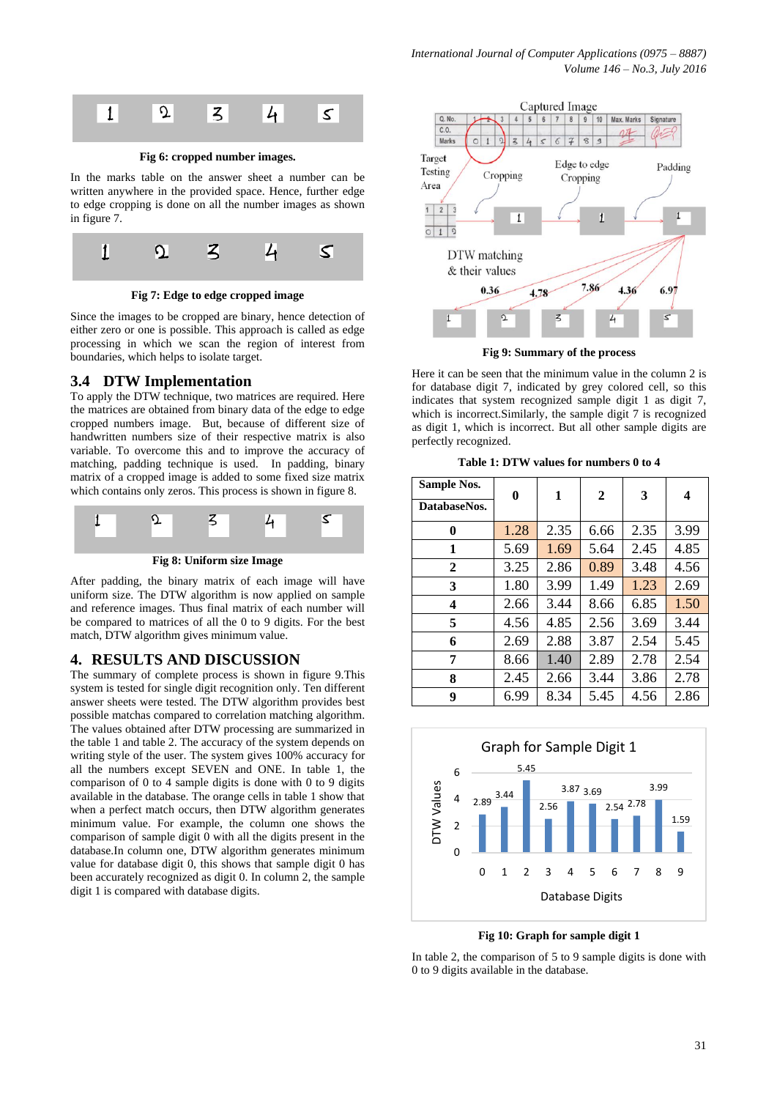

In the marks table on the answer sheet a number can be written anywhere in the provided space. Hence, further edge to edge cropping is done on all the number images as shown in figure 7.



**Fig 7: Edge to edge cropped image**

Since the images to be cropped are binary, hence detection of either zero or one is possible. This approach is called as edge processing in which we scan the region of interest from boundaries, which helps to isolate target.

# **3.4 DTW Implementation**

To apply the DTW technique, two matrices are required. Here the matrices are obtained from binary data of the edge to edge cropped numbers image. But, because of different size of handwritten numbers size of their respective matrix is also variable. To overcome this and to improve the accuracy of matching, padding technique is used. In padding, binary matrix of a cropped image is added to some fixed size matrix which contains only zeros. This process is shown in figure 8.



**Fig 8: Uniform size Image**

After padding, the binary matrix of each image will have uniform size. The DTW algorithm is now applied on sample and reference images. Thus final matrix of each number will be compared to matrices of all the 0 to 9 digits. For the best match, DTW algorithm gives minimum value.

# **4. RESULTS AND DISCUSSION**

The summary of complete process is shown in figure 9.This system is tested for single digit recognition only. Ten different answer sheets were tested. The DTW algorithm provides best possible matchas compared to correlation matching algorithm. The values obtained after DTW processing are summarized in the table 1 and table 2. The accuracy of the system depends on writing style of the user. The system gives 100% accuracy for all the numbers except SEVEN and ONE. In table 1, the comparison of 0 to 4 sample digits is done with 0 to 9 digits available in the database. The orange cells in table 1 show that when a perfect match occurs, then DTW algorithm generates minimum value. For example, the column one shows the comparison of sample digit  $\tilde{0}$  with all the digits present in the database.In column one, DTW algorithm generates minimum value for database digit 0, this shows that sample digit 0 has been accurately recognized as digit 0. In column 2, the sample digit 1 is compared with database digits.



**Fig 9: Summary of the process**

Here it can be seen that the minimum value in the column 2 is for database digit 7, indicated by grey colored cell, so this indicates that system recognized sample digit 1 as digit 7, which is incorrect.Similarly, the sample digit 7 is recognized as digit 1, which is incorrect. But all other sample digits are perfectly recognized.

**Table 1: DTW values for numbers 0 to 4**

| <b>Sample Nos.</b> | 0    | 1    | $\mathbf{2}$ | 3    | 4    |  |
|--------------------|------|------|--------------|------|------|--|
| DatabaseNos.       |      |      |              |      |      |  |
| 0                  | 1.28 | 2.35 | 6.66         | 2.35 | 3.99 |  |
| 1                  | 5.69 | 1.69 | 5.64         | 2.45 | 4.85 |  |
| 2                  | 3.25 | 2.86 | 0.89         | 3.48 | 4.56 |  |
| 3                  | 1.80 | 3.99 | 1.49         | 1.23 | 2.69 |  |
| 4                  | 2.66 | 3.44 | 8.66         | 6.85 | 1.50 |  |
| 5                  | 4.56 | 4.85 | 2.56         | 3.69 | 3.44 |  |
| 6                  | 2.69 | 2.88 | 3.87         | 2.54 | 5.45 |  |
| 7                  | 8.66 | 1.40 | 2.89         | 2.78 | 2.54 |  |
| 8                  | 2.45 | 2.66 | 3.44         | 3.86 | 2.78 |  |
| 9                  | 6.99 | 8.34 | 5.45         | 4.56 | 2.86 |  |



**Fig 10: Graph for sample digit 1**

In table 2, the comparison of 5 to 9 sample digits is done with 0 to 9 digits available in the database.